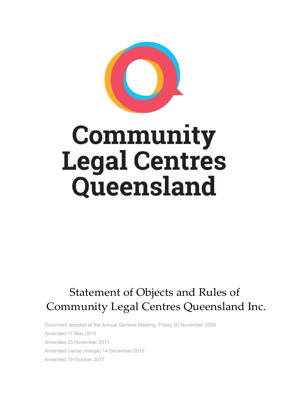

# Community Legal Centres Queensland

# Statement of Objects and Rules of Community Legal Centres Queensland Inc.

Document adopted at the Annual General Meeting, Friday 20 November 2009 Amended 11 May 2010 Amended 25 November 2011 Amended (name change) 14 December 2015 Amended 19 October 2017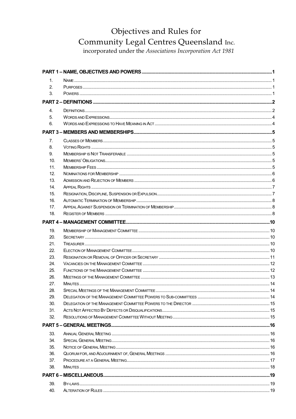# Objectives and Rules for Community Legal Centres Queensland Inc.

incorporated under the Associations Incorporation Act 1981

| 1.  |  |
|-----|--|
| 2.  |  |
| 3.  |  |
|     |  |
| 4.  |  |
| 5.  |  |
| 6.  |  |
|     |  |
| 7.  |  |
| 8.  |  |
| 9.  |  |
| 10. |  |
| 11. |  |
| 12. |  |
| 13. |  |
| 14. |  |
| 15. |  |
| 16. |  |
| 17. |  |
| 18. |  |
|     |  |
| 19. |  |
| 20. |  |
| 21. |  |
| 22. |  |
| 23. |  |
| 24. |  |
| 25. |  |
| 26. |  |
| 27. |  |
| 28. |  |
| 29. |  |
| 30. |  |
| 31. |  |
| 32. |  |
|     |  |
| 33. |  |
| 34. |  |
| 35. |  |
| 36. |  |
| 37. |  |
| 38. |  |
|     |  |
| 39. |  |
| 40. |  |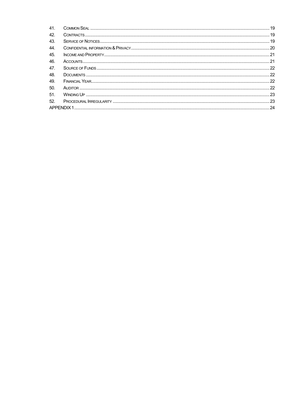| 41. |  |
|-----|--|
| 42. |  |
| 43. |  |
| 44. |  |
| 45. |  |
| 46. |  |
| 47. |  |
| 48. |  |
| 49. |  |
| 50. |  |
| 51. |  |
| 52. |  |
|     |  |
|     |  |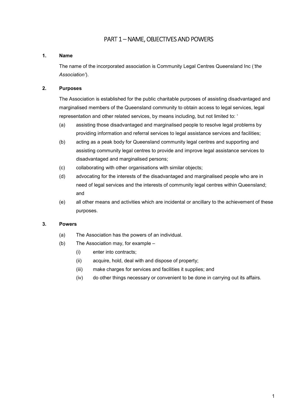# PART 1 – NAME, OBJECTIVES AND POWERS

#### 1. Name

The name of the incorporated association is Community Legal Centres Queensland Inc ('the Association').

#### 2. Purposes

The Association is established for the public charitable purposes of assisting disadvantaged and marginalised members of the Queensland community to obtain access to legal services, legal representation and other related services, by means including, but not limited to: '

- (a) assisting those disadvantaged and marginalised people to resolve legal problems by providing information and referral services to legal assistance services and facilities;
- (b) acting as a peak body for Queensland community legal centres and supporting and assisting community legal centres to provide and improve legal assistance services to disadvantaged and marginalised persons;
- (c) collaborating with other organisations with similar objects;
- (d) advocating for the interests of the disadvantaged and marginalised people who are in need of legal services and the interests of community legal centres within Queensland; and
- (e) all other means and activities which are incidental or ancillary to the achievement of these purposes.

#### 3. Powers

- (a) The Association has the powers of an individual.
- (b) The Association may, for example
	- (i) enter into contracts;
	- (ii) acquire, hold, deal with and dispose of property;
	- (iii) make charges for services and facilities it supplies; and
	- (iv) do other things necessary or convenient to be done in carrying out its affairs.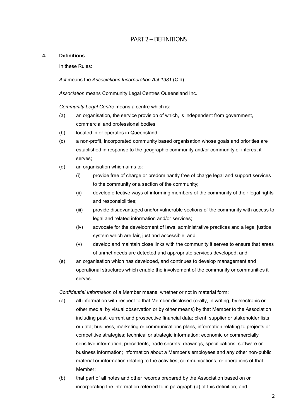# PART 2 – DEFINITIONS

#### 4. Definitions

In these Rules:

Act means the Associations Incorporation Act 1981 (Qld).

Association means Community Legal Centres Queensland Inc.

Community Legal Centre means a centre which is:

- (a) an organisation, the service provision of which, is independent from government, commercial and professional bodies;
- (b) located in or operates in Queensland;
- (c) a non-profit, incorporated community based organisation whose goals and priorities are established in response to the geographic community and/or community of interest it serves;
- (d) an organisation which aims to:
	- (i) provide free of charge or predominantly free of charge legal and support services to the community or a section of the community;
	- (ii) develop effective ways of informing members of the community of their legal rights and responsibilities;
	- (iii) provide disadvantaged and/or vulnerable sections of the community with access to legal and related information and/or services;
	- (iv) advocate for the development of laws, administrative practices and a legal justice system which are fair, just and accessible; and
	- (v) develop and maintain close links with the community it serves to ensure that areas of unmet needs are detected and appropriate services developed; and
- (e) an organisation which has developed, and continues to develop management and operational structures which enable the involvement of the community or communities it serves.

Confidential Information of a Member means, whether or not in material form:

- (a) all information with respect to that Member disclosed (orally, in writing, by electronic or other media, by visual observation or by other means) by that Member to the Association including past, current and prospective financial data; client, supplier or stakeholder lists or data; business, marketing or communications plans, information relating to projects or competitive strategies; technical or strategic information; economic or commercially sensitive information; precedents, trade secrets; drawings, specifications, software or business information; information about a Member's employees and any other non-public material or information relating to the activities, communications, or operations of that Member;
- (b) that part of all notes and other records prepared by the Association based on or incorporating the information referred to in paragraph (a) of this definition; and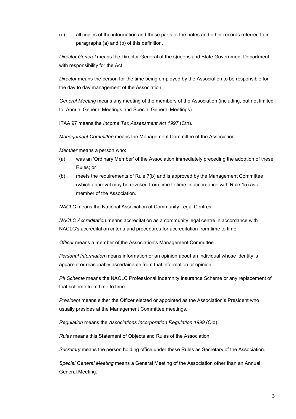(c) all copies of the information and those parts of the notes and other records referred to in paragraphs (a) and (b) of this definition.

Director General means the Director General of the Queensland State Government Department with responsibility for the Act

Director means the person for the time being employed by the Association to be responsible for the day to day management of the Association

General Meeting means any meeting of the members of the Association (including, but not limited to, Annual General Meetings and Special General Meetings).

ITAA 97 means the Income Tax Assessment Act 1997 (Cth).

Management Committee means the Management Committee of the Association.

Member means a person who:

- (a) was an 'Ordinary Member' of the Association immediately preceding the adoption of these Rules; or
- (b) meets the requirements of Rule 7(b) and is approved by the Management Committee (which approval may be revoked from time to time in accordance with Rule 15) as a member of the Association.

NACLC means the National Association of Community Legal Centres.

NACLC Accreditation means accreditation as a community legal centre in accordance with NACLC's accreditation criteria and procedures for accreditation from time to time.

Officer means a member of the Association's Management Committee.

Personal Information means information or an opinion about an individual whose identity is apparent or reasonably ascertainable from that information or opinion.

PII Scheme means the NACLC Professional Indemnity Insurance Scheme or any replacement of that scheme from time to time.

President means either the Officer elected or appointed as the Association's President who usually presides at the Management Committee meetings.

Regulation means the Associations Incorporation Regulation 1999 (Qld).

Rules means this Statement of Objects and Rules of the Association.

Secretary means the person holding office under these Rules as Secretary of the Association.

Special General Meeting means a General Meeting of the Association other than an Annual General Meeting.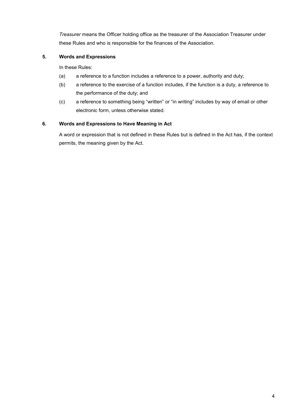Treasurer means the Officer holding office as the treasurer of the Association Treasurer under these Rules and who is responsible for the finances of the Association.

#### 5. Words and Expressions

In these Rules:

- (a) a reference to a function includes a reference to a power, authority and duty;
- (b) a reference to the exercise of a function includes, if the function is a duty, a reference to the performance of the duty; and
- (c) a reference to something being "written" or "in writing" includes by way of email or other electronic form, unless otherwise stated.

#### 6. Words and Expressions to Have Meaning in Act

A word or expression that is not defined in these Rules but is defined in the Act has, if the context permits, the meaning given by the Act.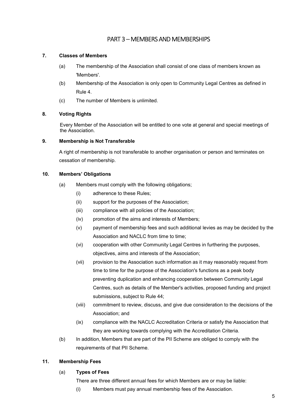# PART 3 – MEMBERS AND MEMBERSHIPS

#### 7. Classes of Members

- (a) The membership of the Association shall consist of one class of members known as 'Members'.
- (b) Membership of the Association is only open to Community Legal Centres as defined in Rule 4.
- (c) The number of Members is unlimited.

#### 8. Voting Rights

Every Member of the Association will be entitled to one vote at general and special meetings of the Association.

#### 9. Membership is Not Transferable

A right of membership is not transferable to another organisation or person and terminates on cessation of membership.

#### 10. Members' Obligations

- (a) Members must comply with the following obligations;
	- (i) adherence to these Rules;
	- (ii) support for the purposes of the Association;
	- (iii) compliance with all policies of the Association;
	- (iv) promotion of the aims and interests of Members;
	- (v) payment of membership fees and such additional levies as may be decided by the Association and NACLC from time to time:
	- (vi) cooperation with other Community Legal Centres in furthering the purposes, objectives, aims and interests of the Association;
	- (vii) provision to the Association such information as it may reasonably request from time to time for the purpose of the Association's functions as a peak body preventing duplication and enhancing cooperation between Community Legal Centres, such as details of the Member's activities, proposed funding and project submissions, subject to Rule 44;
	- (viii) commitment to review, discuss, and give due consideration to the decisions of the Association; and
	- (ix) compliance with the NACLC Accreditation Criteria or satisfy the Association that they are working towards complying with the Accreditation Criteria.
- (b) In addition, Members that are part of the PII Scheme are obliged to comply with the requirements of that PII Scheme.

#### 11. Membership Fees

#### (a) Types of Fees

There are three different annual fees for which Members are or may be liable:

(i) Members must pay annual membership fees of the Association.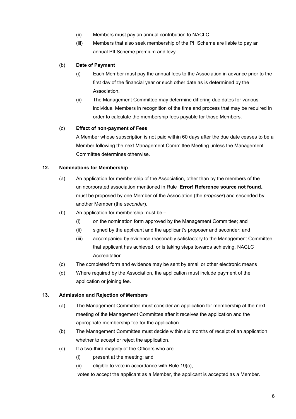- (ii) Members must pay an annual contribution to NACLC.
- (iii) Members that also seek membership of the PII Scheme are liable to pay an annual PII Scheme premium and levy.

#### (b) Date of Payment

- (i) Each Member must pay the annual fees to the Association in advance prior to the first day of the financial year or such other date as is determined by the Association.
- (ii) The Management Committee may determine differing due dates for various individual Members in recognition of the time and process that may be required in order to calculate the membership fees payable for those Members.

#### (c) Effect of non-payment of Fees

A Member whose subscription is not paid within 60 days after the due date ceases to be a Member following the next Management Committee Meeting unless the Management Committee determines otherwise.

#### 12. Nominations for Membership

- (a) An application for membership of the Association, other than by the members of the unincorporated association mentioned in Rule Error! Reference source not found., must be proposed by one Member of the Association (the *proposer*) and seconded by another Member (the seconder).
- (b) An application for membership must be
	- (i) on the nomination form approved by the Management Committee; and
	- (ii) signed by the applicant and the applicant's proposer and seconder; and
	- (iii) accompanied by evidence reasonably satisfactory to the Management Committee that applicant has achieved, or is taking steps towards achieving, NACLC Accreditation.
- (c) The completed form and evidence may be sent by email or other electronic means
- (d) Where required by the Association, the application must include payment of the application or joining fee.

#### 13. Admission and Rejection of Members

- (a) The Management Committee must consider an application for membership at the next meeting of the Management Committee after it receives the application and the appropriate membership fee for the application.
- (b) The Management Committee must decide within six months of receipt of an application whether to accept or reject the application.
- (c) If a two-third majority of the Officers who are
	- (i) present at the meeting; and
	- (ii) eligible to vote in accordance with Rule 19(c),

votes to accept the applicant as a Member, the applicant is accepted as a Member.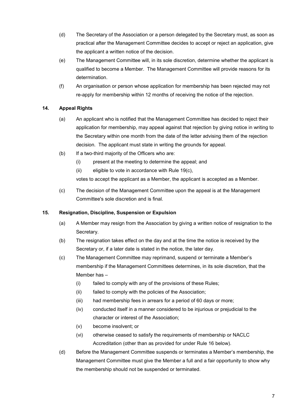- (d) The Secretary of the Association or a person delegated by the Secretary must, as soon as practical after the Management Committee decides to accept or reject an application, give the applicant a written notice of the decision.
- (e) The Management Committee will, in its sole discretion, determine whether the applicant is qualified to become a Member. The Management Committee will provide reasons for its determination.
- (f) An organisation or person whose application for membership has been rejected may not re-apply for membership within 12 months of receiving the notice of the rejection.

#### 14. Appeal Rights

- (a) An applicant who is notified that the Management Committee has decided to reject their application for membership, may appeal against that rejection by giving notice in writing to the Secretary within one month from the date of the letter advising them of the rejection decision. The applicant must state in writing the grounds for appeal.
- (b) If a two-third majority of the Officers who are:
	- (i) present at the meeting to determine the appeal; and
	- (ii) eligible to vote in accordance with Rule 19(c),

votes to accept the applicant as a Member, the applicant is accepted as a Member.

(c) The decision of the Management Committee upon the appeal is at the Management Committee's sole discretion and is final.

#### 15. Resignation, Discipline, Suspension or Expulsion

- (a) A Member may resign from the Association by giving a written notice of resignation to the Secretary.
- (b) The resignation takes effect on the day and at the time the notice is received by the Secretary or, if a later date is stated in the notice, the later day.
- (c) The Management Committee may reprimand, suspend or terminate a Member's membership if the Management Committees determines, in its sole discretion, that the Member has –
	- (i) failed to comply with any of the provisions of these Rules;
	- (ii) failed to comply with the policies of the Association;
	- (iii) had membership fees in arrears for a period of 60 days or more;
	- (iv) conducted itself in a manner considered to be injurious or prejudicial to the character or interest of the Association;
	- (v) become insolvent; or
	- (vi) otherwise ceased to satisfy the requirements of membership or NACLC Accreditation (other than as provided for under Rule 16 below).
- (d) Before the Management Committee suspends or terminates a Member's membership, the Management Committee must give the Member a full and a fair opportunity to show why the membership should not be suspended or terminated.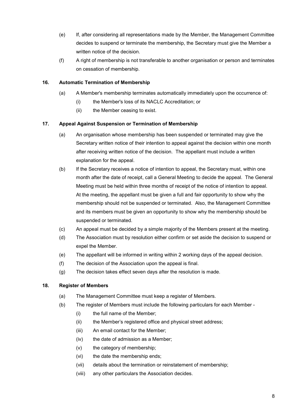- (e) If, after considering all representations made by the Member, the Management Committee decides to suspend or terminate the membership, the Secretary must give the Member a written notice of the decision.
- (f) A right of membership is not transferable to another organisation or person and terminates on cessation of membership.

#### 16. Automatic Termination of Membership

- (a) A Member's membership terminates automatically immediately upon the occurrence of:
	- (i) the Member's loss of its NACLC Accreditation; or
	- (ii) the Member ceasing to exist.

#### 17. Appeal Against Suspension or Termination of Membership

- (a) An organisation whose membership has been suspended or terminated may give the Secretary written notice of their intention to appeal against the decision within one month after receiving written notice of the decision. The appellant must include a written explanation for the appeal.
- (b) If the Secretary receives a notice of intention to appeal, the Secretary must, within one month after the date of receipt, call a General Meeting to decide the appeal. The General Meeting must be held within three months of receipt of the notice of intention to appeal. At the meeting, the appellant must be given a full and fair opportunity to show why the membership should not be suspended or terminated. Also, the Management Committee and its members must be given an opportunity to show why the membership should be suspended or terminated.
- (c) An appeal must be decided by a simple majority of the Members present at the meeting.
- (d) The Association must by resolution either confirm or set aside the decision to suspend or expel the Member.
- (e) The appellant will be informed in writing within 2 working days of the appeal decision.
- (f) The decision of the Association upon the appeal is final.
- (g) The decision takes effect seven days after the resolution is made.

#### 18. Register of Members

- (a) The Management Committee must keep a register of Members.
- (b) The register of Members must include the following particulars for each Member
	- (i) the full name of the Member;
	- (ii) the Member's registered office and physical street address;
	- (iii) An email contact for the Member;
	- (iv) the date of admission as a Member;
	- (v) the category of membership;
	- (vi) the date the membership ends;
	- (vii) details about the termination or reinstatement of membership;
	- (viii) any other particulars the Association decides.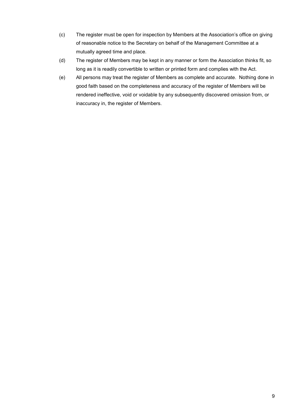- (c) The register must be open for inspection by Members at the Association's office on giving of reasonable notice to the Secretary on behalf of the Management Committee at a mutually agreed time and place.
- (d) The register of Members may be kept in any manner or form the Association thinks fit, so long as it is readily convertible to written or printed form and complies with the Act.
- (e) All persons may treat the register of Members as complete and accurate. Nothing done in good faith based on the completeness and accuracy of the register of Members will be rendered ineffective, void or voidable by any subsequently discovered omission from, or inaccuracy in, the register of Members.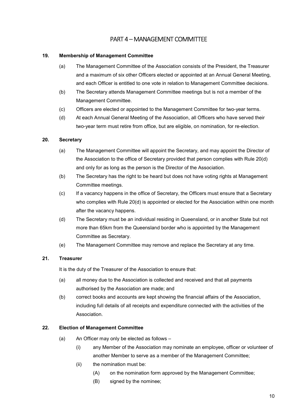# PART 4 – MANAGEMENT COMMITTEE

#### 19. Membership of Management Committee

- (a) The Management Committee of the Association consists of the President, the Treasurer and a maximum of six other Officers elected or appointed at an Annual General Meeting, and each Officer is entitled to one vote in relation to Management Committee decisions.
- (b) The Secretary attends Management Committee meetings but is not a member of the Management Committee.
- (c) Officers are elected or appointed to the Management Committee for two-year terms.
- (d) At each Annual General Meeting of the Association, all Officers who have served their two-year term must retire from office, but are eligible, on nomination, for re-election.

#### 20. Secretary

- (a) The Management Committee will appoint the Secretary, and may appoint the Director of the Association to the office of Secretary provided that person complies with Rule 20(d) and only for as long as the person is the Director of the Association.
- (b) The Secretary has the right to be heard but does not have voting rights at Management Committee meetings.
- (c) If a vacancy happens in the office of Secretary, the Officers must ensure that a Secretary who complies with Rule 20(d) is appointed or elected for the Association within one month after the vacancy happens.
- (d) The Secretary must be an individual residing in Queensland, or in another State but not more than 65km from the Queensland border who is appointed by the Management Committee as Secretary.
- (e) The Management Committee may remove and replace the Secretary at any time.

#### 21. Treasurer

It is the duty of the Treasurer of the Association to ensure that:

- (a) all money due to the Association is collected and received and that all payments authorised by the Association are made; and
- (b) correct books and accounts are kept showing the financial affairs of the Association, including full details of all receipts and expenditure connected with the activities of the **Association**

#### 22. Election of Management Committee

- (a) An Officer may only be elected as follows
	- (i) any Member of the Association may nominate an employee, officer or volunteer of another Member to serve as a member of the Management Committee;
	- (ii) the nomination must be:
		- (A) on the nomination form approved by the Management Committee;
		- (B) signed by the nominee;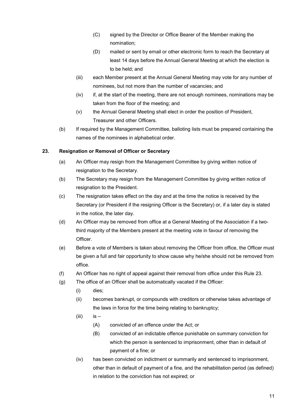- (C) signed by the Director or Office Bearer of the Member making the nomination;
- (D) mailed or sent by email or other electronic form to reach the Secretary at least 14 days before the Annual General Meeting at which the election is to be held; and
- (iii) each Member present at the Annual General Meeting may vote for any number of nominees, but not more than the number of vacancies; and
- (iv) if, at the start of the meeting, there are not enough nominees, nominations may be taken from the floor of the meeting; and
- (v) the Annual General Meeting shall elect in order the position of President, Treasurer and other Officers.
- (b) If required by the Management Committee, balloting lists must be prepared containing the names of the nominees in alphabetical order.

#### 23. Resignation or Removal of Officer or Secretary

- (a) An Officer may resign from the Management Committee by giving written notice of resignation to the Secretary.
- (b) The Secretary may resign from the Management Committee by giving written notice of resignation to the President.
- (c) The resignation takes effect on the day and at the time the notice is received by the Secretary (or President if the resigning Officer is the Secretary) or, if a later day is stated in the notice, the later day.
- (d) An Officer may be removed from office at a General Meeting of the Association if a twothird majority of the Members present at the meeting vote in favour of removing the Officer.
- (e) Before a vote of Members is taken about removing the Officer from office, the Officer must be given a full and fair opportunity to show cause why he/she should not be removed from office.
- (f) An Officer has no right of appeal against their removal from office under this Rule 23.
- (g) The office of an Officer shall be automatically vacated if the Officer:
	- (i) dies;
	- (ii) becomes bankrupt, or compounds with creditors or otherwise takes advantage of the laws in force for the time being relating to bankruptcy;
	- $(iii)$  is  $-$ 
		- (A) convicted of an offence under the Act; or
		- (B) convicted of an indictable offence punishable on summary conviction for which the person is sentenced to imprisonment, other than in default of payment of a fine; or
	- (iv) has been convicted on indictment or summarily and sentenced to imprisonment, other than in default of payment of a fine, and the rehabilitation period (as defined) in relation to the conviction has not expired; or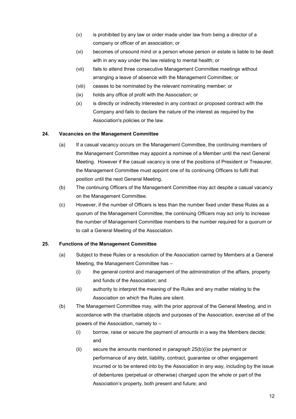- (v) is prohibited by any law or order made under law from being a director of a company or officer of an association; or
- (vi) becomes of unsound mind or a person whose person or estate is liable to be dealt with in any way under the law relating to mental health; or
- (vii) fails to attend three consecutive Management Committee meetings without arranging a leave of absence with the Management Committee; or
- (viii) ceases to be nominated by the relevant nominating member; or
- (ix) holds any office of profit with the Association; or
- (x) is directly or indirectly interested in any contract or proposed contract with the Company and fails to declare the nature of the interest as required by the Association's policies or the law.

#### 24. Vacancies on the Management Committee

- (a) If a casual vacancy occurs on the Management Committee, the continuing members of the Management Committee may appoint a nominee of a Member until the next General Meeting. However if the casual vacancy is one of the positions of President or Treasurer, the Management Committee must appoint one of its continuing Officers to fulfil that position until the next General Meeting.
- (b) The continuing Officers of the Management Committee may act despite a casual vacancy on the Management Committee.
- (c) However, if the number of Officers is less than the number fixed under these Rules as a quorum of the Management Committee, the continuing Officers may act only to increase the number of Management Committee members to the number required for a quorum or to call a General Meeting of the Association.

#### 25. Functions of the Management Committee

- (a) Subject to these Rules or a resolution of the Association carried by Members at a General Meeting, the Management Committee has –
	- (i) the general control and management of the administration of the affairs, property and funds of the Association; and
	- (ii) authority to interpret the meaning of the Rules and any matter relating to the Association on which the Rules are silent.
- (b) The Management Committee may, with the prior approval of the General Meeting, and in accordance with the charitable objects and purposes of the Association, exercise all of the powers of the Association, namely to –
	- (i) borrow, raise or secure the payment of amounts in a way the Members decide; and
	- (ii) secure the amounts mentioned in paragraph 25(b)(i)or the payment or performance of any debt, liability, contract, guarantee or other engagement incurred or to be entered into by the Association in any way, including by the issue of debentures (perpetual or otherwise) charged upon the whole or part of the Association's property, both present and future; and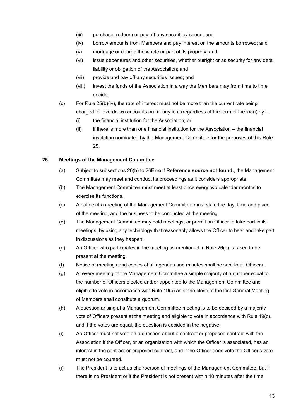- (iii) purchase, redeem or pay off any securities issued; and
- (iv) borrow amounts from Members and pay interest on the amounts borrowed; and
- (v) mortgage or charge the whole or part of its property; and
- (vi) issue debentures and other securities, whether outright or as security for any debt, liability or obligation of the Association; and
- (vii) provide and pay off any securities issued; and
- (viii) invest the funds of the Association in a way the Members may from time to time decide.
- (c) For Rule 25(b)(iv), the rate of interest must not be more than the current rate being charged for overdrawn accounts on money lent (regardless of the term of the loan) by:-
	- (i) the financial institution for the Association; or
	- (ii) if there is more than one financial institution for the Association the financial institution nominated by the Management Committee for the purposes of this Rule 25.

#### 26. Meetings of the Management Committee

- (a) Subject to subsections  $26(b)$  to  $26$ **Error! Reference source not found.**, the Management Committee may meet and conduct its proceedings as it considers appropriate.
- (b) The Management Committee must meet at least once every two calendar months to exercise its functions.
- (c) A notice of a meeting of the Management Committee must state the day, time and place of the meeting, and the business to be conducted at the meeting.
- (d) The Management Committee may hold meetings, or permit an Officer to take part in its meetings, by using any technology that reasonably allows the Officer to hear and take part in discussions as they happen.
- (e) An Officer who participates in the meeting as mentioned in Rule 26(d) is taken to be present at the meeting.
- (f) Notice of meetings and copies of all agendas and minutes shall be sent to all Officers.
- (g) At every meeting of the Management Committee a simple majority of a number equal to the number of Officers elected and/or appointed to the Management Committee and eligible to vote in accordance with Rule 19(c) as at the close of the last General Meeting of Members shall constitute a quorum.
- (h) A question arising at a Management Committee meeting is to be decided by a majority vote of Officers present at the meeting and eligible to vote in accordance with Rule 19(c), and if the votes are equal, the question is decided in the negative.
- (i) An Officer must not vote on a question about a contract or proposed contract with the Association if the Officer, or an organisation with which the Officer is associated, has an interest in the contract or proposed contract, and if the Officer does vote the Officer's vote must not be counted.
- (j) The President is to act as chairperson of meetings of the Management Committee, but if there is no President or if the President is not present within 10 minutes after the time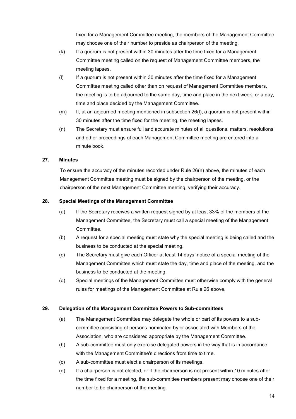fixed for a Management Committee meeting, the members of the Management Committee may choose one of their number to preside as chairperson of the meeting.

- (k) If a quorum is not present within 30 minutes after the time fixed for a Management Committee meeting called on the request of Management Committee members, the meeting lapses.
- (l) If a quorum is not present within 30 minutes after the time fixed for a Management Committee meeting called other than on request of Management Committee members, the meeting is to be adjourned to the same day, time and place in the next week, or a day, time and place decided by the Management Committee.
- (m) If, at an adjourned meeting mentioned in subsection 26(l), a quorum is not present within 30 minutes after the time fixed for the meeting, the meeting lapses.
- (n) The Secretary must ensure full and accurate minutes of all questions, matters, resolutions and other proceedings of each Management Committee meeting are entered into a minute book.

#### 27. Minutes

To ensure the accuracy of the minutes recorded under Rule 26(n) above, the minutes of each Management Committee meeting must be signed by the chairperson of the meeting, or the chairperson of the next Management Committee meeting, verifying their accuracy.

#### 28. Special Meetings of the Management Committee

- (a) If the Secretary receives a written request signed by at least 33% of the members of the Management Committee, the Secretary must call a special meeting of the Management Committee.
- (b) A request for a special meeting must state why the special meeting is being called and the business to be conducted at the special meeting.
- (c) The Secretary must give each Officer at least 14 days' notice of a special meeting of the Management Committee which must state the day, time and place of the meeting, and the business to be conducted at the meeting.
- (d) Special meetings of the Management Committee must otherwise comply with the general rules for meetings of the Management Committee at Rule 26 above.

#### 29. Delegation of the Management Committee Powers to Sub-committees

- (a) The Management Committee may delegate the whole or part of its powers to a subcommittee consisting of persons nominated by or associated with Members of the Association, who are considered appropriate by the Management Committee.
- (b) A sub-committee must only exercise delegated powers in the way that is in accordance with the Management Committee's directions from time to time.
- (c) A sub-committee must elect a chairperson of its meetings.
- (d) If a chairperson is not elected, or if the chairperson is not present within 10 minutes after the time fixed for a meeting, the sub-committee members present may choose one of their number to be chairperson of the meeting.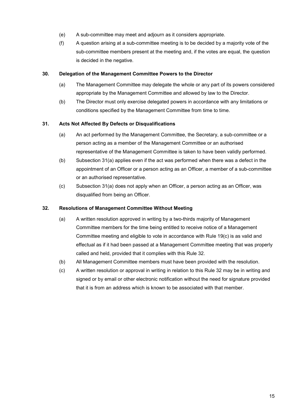- (e) A sub-committee may meet and adjourn as it considers appropriate.
- (f) A question arising at a sub-committee meeting is to be decided by a majority vote of the sub-committee members present at the meeting and, if the votes are equal, the question is decided in the negative.

#### 30. Delegation of the Management Committee Powers to the Director

- (a) The Management Committee may delegate the whole or any part of its powers considered appropriate by the Management Committee and allowed by law to the Director.
- (b) The Director must only exercise delegated powers in accordance with any limitations or conditions specified by the Management Committee from time to time.

#### 31. Acts Not Affected By Defects or Disqualifications

- (a) An act performed by the Management Committee, the Secretary, a sub-committee or a person acting as a member of the Management Committee or an authorised representative of the Management Committee is taken to have been validly performed.
- (b) Subsection 31(a) applies even if the act was performed when there was a defect in the appointment of an Officer or a person acting as an Officer, a member of a sub-committee or an authorised representative.
- (c) Subsection 31(a) does not apply when an Officer, a person acting as an Officer, was disqualified from being an Officer.

#### 32. Resolutions of Management Committee Without Meeting

- (a) A written resolution approved in writing by a two-thirds majority of Management Committee members for the time being entitled to receive notice of a Management Committee meeting and eligible to vote in accordance with Rule 19(c) is as valid and effectual as if it had been passed at a Management Committee meeting that was properly called and held, provided that it complies with this Rule 32.
- (b) All Management Committee members must have been provided with the resolution.
- (c) A written resolution or approval in writing in relation to this Rule 32 may be in writing and signed or by email or other electronic notification without the need for signature provided that it is from an address which is known to be associated with that member.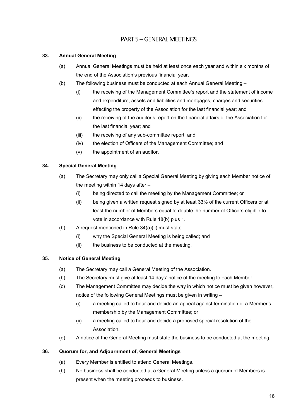# PART 5 – GENERAL MEETINGS

#### 33. Annual General Meeting

- (a) Annual General Meetings must be held at least once each year and within six months of the end of the Association's previous financial year.
- (b) The following business must be conducted at each Annual General Meeting
	- (i) the receiving of the Management Committee's report and the statement of income and expenditure, assets and liabilities and mortgages, charges and securities effecting the property of the Association for the last financial year; and
	- (ii) the receiving of the auditor's report on the financial affairs of the Association for the last financial year; and
	- (iii) the receiving of any sub-committee report; and
	- (iv) the election of Officers of the Management Committee; and
	- (v) the appointment of an auditor.

#### 34. Special General Meeting

- (a) The Secretary may only call a Special General Meeting by giving each Member notice of the meeting within 14 days after –
	- (i) being directed to call the meeting by the Management Committee; or
	- (ii) being given a written request signed by at least 33% of the current Officers or at least the number of Members equal to double the number of Officers eligible to vote in accordance with Rule 18(b) plus 1.
- (b) A request mentioned in Rule  $34(a)(ii)$  must state
	- (i) why the Special General Meeting is being called; and
	- (ii) the business to be conducted at the meeting.

#### 35. Notice of General Meeting

- (a) The Secretary may call a General Meeting of the Association.
- (b) The Secretary must give at least 14 days' notice of the meeting to each Member.
- (c) The Management Committee may decide the way in which notice must be given however, notice of the following General Meetings must be given in writing –
	- (i) a meeting called to hear and decide an appeal against termination of a Member's membership by the Management Committee; or
	- (ii) a meeting called to hear and decide a proposed special resolution of the Association.
- (d) A notice of the General Meeting must state the business to be conducted at the meeting.

#### 36. Quorum for, and Adjournment of, General Meetings

- (a) Every Member is entitled to attend General Meetings.
- (b) No business shall be conducted at a General Meeting unless a quorum of Members is present when the meeting proceeds to business.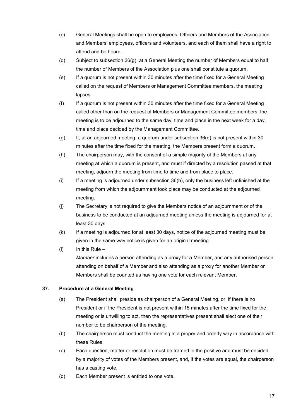- (c) General Meetings shall be open to employees, Officers and Members of the Association and Members' employees, officers and volunteers, and each of them shall have a right to attend and be heard.
- (d) Subject to subsection 36(g), at a General Meeting the number of Members equal to half the number of Members of the Association plus one shall constitute a quorum.
- (e) If a quorum is not present within 30 minutes after the time fixed for a General Meeting called on the request of Members or Management Committee members, the meeting lapses.
- (f) If a quorum is not present within 30 minutes after the time fixed for a General Meeting called other than on the request of Members or Management Committee members, the meeting is to be adjourned to the same day, time and place in the next week for a day, time and place decided by the Management Committee.
- (g) If, at an adjourned meeting, a quorum under subsection 36(d) is not present within 30 minutes after the time fixed for the meeting, the Members present form a quorum.
- (h) The chairperson may, with the consent of a simple majority of the Members at any meeting at which a quorum is present, and must if directed by a resolution passed at that meeting, adjourn the meeting from time to time and from place to place.
- (i) If a meeting is adjourned under subsection 36(h), only the business left unfinished at the meeting from which the adjournment took place may be conducted at the adjourned meeting.
- (j) The Secretary is not required to give the Members notice of an adjournment or of the business to be conducted at an adjourned meeting unless the meeting is adjourned for at least 30 days.
- (k) If a meeting is adjourned for at least 30 days, notice of the adjourned meeting must be given in the same way notice is given for an original meeting.
- (I) In this Rule  $-$ Member includes a person attending as a proxy for a Member, and any authorised person attending on behalf of a Member and also attending as a proxy for another Member or Members shall be counted as having one vote for each relevant Member.

#### 37. Procedure at a General Meeting

- (a) The President shall preside as chairperson of a General Meeting, or, if there is no President or if the President is not present within 15 minutes after the time fixed for the meeting or is unwilling to act, then the representatives present shall elect one of their number to be chairperson of the meeting.
- (b) The chairperson must conduct the meeting in a proper and orderly way in accordance with these Rules.
- (c) Each question, matter or resolution must be framed in the positive and must be decided by a majority of votes of the Members present, and, if the votes are equal, the chairperson has a casting vote.
- (d) Each Member present is entitled to one vote.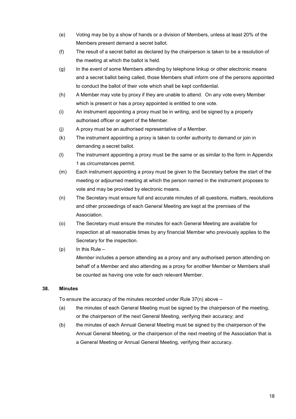- (e) Voting may be by a show of hands or a division of Members, unless at least 20% of the Members present demand a secret ballot.
- (f) The result of a secret ballot as declared by the chairperson is taken to be a resolution of the meeting at which the ballot is held.
- (g) In the event of some Members attending by telephone linkup or other electronic means and a secret ballot being called, those Members shall inform one of the persons appointed to conduct the ballot of their vote which shall be kept confidential.
- (h) A Member may vote by proxy if they are unable to attend. On any vote every Member which is present or has a proxy appointed is entitled to one vote.
- (i) An instrument appointing a proxy must be in writing, and be signed by a properly authorised officer or agent of the Member.
- (j) A proxy must be an authorised representative of a Member.
- (k) The instrument appointing a proxy is taken to confer authority to demand or join in demanding a secret ballot.
- (l) The instrument appointing a proxy must be the same or as similar to the form in Appendix 1 as circumstances permit.
- (m) Each instrument appointing a proxy must be given to the Secretary before the start of the meeting or adjourned meeting at which the person named in the instrument proposes to vote and may be provided by electronic means.
- (n) The Secretary must ensure full and accurate minutes of all questions, matters, resolutions and other proceedings of each General Meeting are kept at the premises of the Association.
- (o) The Secretary must ensure the minutes for each General Meeting are available for inspection at all reasonable times by any financial Member who previously applies to the Secretary for the inspection.
- $(p)$  In this Rule –

Member includes a person attending as a proxy and any authorised person attending on behalf of a Member and also attending as a proxy for another Member or Members shall be counted as having one vote for each relevant Member.

#### 38. Minutes

To ensure the accuracy of the minutes recorded under Rule  $37(n)$  above  $-$ 

- (a) the minutes of each General Meeting must be signed by the chairperson of the meeting, or the chairperson of the next General Meeting, verifying their accuracy; and
- (b) the minutes of each Annual General Meeting must be signed by the chairperson of the Annual General Meeting, or the chairperson of the next meeting of the Association that is a General Meeting or Annual General Meeting, verifying their accuracy.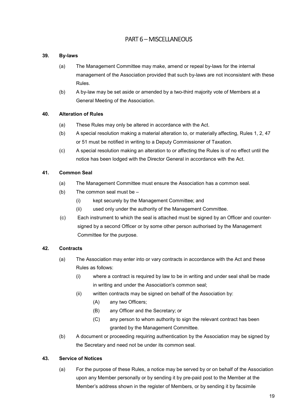# PART 6 – MISCELLANEOUS

#### 39. By-laws

- (a) The Management Committee may make, amend or repeal by-laws for the internal management of the Association provided that such by-laws are not inconsistent with these Rules.
- (b) A by-law may be set aside or amended by a two-third majority vote of Members at a General Meeting of the Association.

#### 40. Alteration of Rules

- (a) These Rules may only be altered in accordance with the Act.
- (b) A special resolution making a material alteration to, or materially affecting, Rules 1, 2, 47 or 51 must be notified in writing to a Deputy Commissioner of Taxation.
- (c) A special resolution making an alteration to or affecting the Rules is of no effect until the notice has been lodged with the Director General in accordance with the Act.

#### 41. Common Seal

- (a) The Management Committee must ensure the Association has a common seal.
- (b) The common seal must be
	- (i) kept securely by the Management Committee; and
	- (ii) used only under the authority of the Management Committee.
- (c) Each instrument to which the seal is attached must be signed by an Officer and countersigned by a second Officer or by some other person authorised by the Management Committee for the purpose.

#### 42. Contracts

- (a) The Association may enter into or vary contracts in accordance with the Act and these Rules as follows:
	- (i) where a contract is required by law to be in writing and under seal shall be made in writing and under the Association's common seal;
	- (ii) written contracts may be signed on behalf of the Association by:
		- (A) any two Officers;
		- (B) any Officer and the Secretary; or
		- (C) any person to whom authority to sign the relevant contract has been granted by the Management Committee.
- (b) A document or proceeding requiring authentication by the Association may be signed by the Secretary and need not be under its common seal.

#### 43. Service of Notices

(a) For the purpose of these Rules, a notice may be served by or on behalf of the Association upon any Member personally or by sending it by pre-paid post to the Member at the Member's address shown in the register of Members, or by sending it by facsimile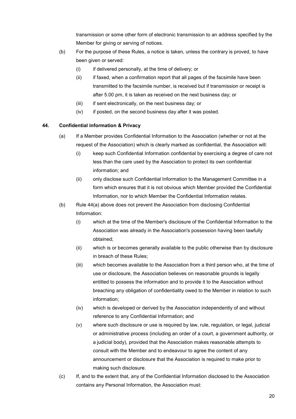transmission or some other form of electronic transmission to an address specified by the Member for giving or serving of notices.

- (b) For the purpose of these Rules, a notice is taken, unless the contrary is proved, to have been given or served:
	- (i) if delivered personally, at the time of delivery; or
	- (ii) if faxed, when a confirmation report that all pages of the facsimile have been transmitted to the facsimile number, is received but if transmission or receipt is after 5.00 pm, it is taken as received on the next business day; or
	- (iii) if sent electronically, on the next business day; or
	- (iv) if posted, on the second business day after it was posted.

#### 44. Confidential information & Privacy

- (a) If a Member provides Confidential Information to the Association (whether or not at the request of the Association) which is clearly marked as confidential, the Association will:
	- (i) keep such Confidential Information confidential by exercising a degree of care not less than the care used by the Association to protect its own confidential information; and
	- (ii) only disclose such Confidential Information to the Management Committee in a form which ensures that it is not obvious which Member provided the Confidential Information, nor to which Member the Confidential Information relates.
- (b) Rule 44(a) above does not prevent the Association from disclosing Confidential Information:
	- (i) which at the time of the Member's disclosure of the Confidential Information to the Association was already in the Association's possession having been lawfully obtained;
	- (ii) which is or becomes generally available to the public otherwise than by disclosure in breach of these Rules;
	- (iii) which becomes available to the Association from a third person who, at the time of use or disclosure, the Association believes on reasonable grounds is legally entitled to possess the information and to provide it to the Association without breaching any obligation of confidentiality owed to the Member in relation to such information;
	- (iv) which is developed or derived by the Association independently of and without reference to any Confidential Information; and
	- (v) where such disclosure or use is required by law, rule, regulation, or legal, judicial or administrative process (including an order of a court, a government authority, or a judicial body), provided that the Association makes reasonable attempts to consult with the Member and to endeavour to agree the content of any announcement or disclosure that the Association is required to make prior to making such disclosure.
- (c) If, and to the extent that, any of the Confidential Information disclosed to the Association contains any Personal Information, the Association must: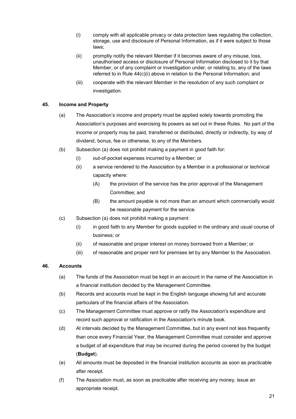- (i) comply with all applicable privacy or data protection laws regulating the collection, storage, use and disclosure of Personal Information, as if it were subject to those laws;
- (ii) promptly notify the relevant Member if it becomes aware of any misuse, loss, unauthorised access or disclosure of Personal Information disclosed to it by that Member, or of any complaint or investigation under, or relating to, any of the laws referred to in Rule 44(c)(i) above in relation to the Personal Information; and
- (iii) cooperate with the relevant Member in the resolution of any such complaint or investigation.

#### 45. Income and Property

- (a) The Association's income and property must be applied solely towards promoting the Association's purposes and exercising its powers as set out in these Rules. No part of the income or property may be paid, transferred or distributed, directly or indirectly, by way of dividend, bonus, fee or otherwise, to any of the Members.
- (b) Subsection (a) does not prohibit making a payment in good faith for:
	- (i) out-of-pocket expenses incurred by a Member; or
	- (ii) a service rendered to the Association by a Member in a professional or technical capacity where:
		- (A) the provision of the service has the prior approval of the Management Committee; and
		- (B) the amount payable is not more than an amount which commercially would be reasonable payment for the service.
- (c) Subsection (a) does not prohibit making a payment:
	- (i) in good faith to any Member for goods supplied in the ordinary and usual course of business; or
	- (ii) of reasonable and proper interest on money borrowed from a Member; or
	- (iii) of reasonable and proper rent for premises let by any Member to the Association.

#### 46. Accounts

- (a) The funds of the Association must be kept in an account in the name of the Association in a financial institution decided by the Management Committee.
- (b) Records and accounts must be kept in the English language showing full and accurate particulars of the financial affairs of the Association.
- (c) The Management Committee must approve or ratify the Association's expenditure and record such approval or ratification in the Association's minute book.
- (d) At intervals decided by the Management Committee, but in any event not less frequently than once every Financial Year, the Management Committee must consider and approve a budget of all expenditure that may be incurred during the period covered by the budget (Budget).
- (e) All amounts must be deposited in the financial institution accounts as soon as practicable after receipt.
- (f) The Association must, as soon as practicable after receiving any money, issue an appropriate receipt.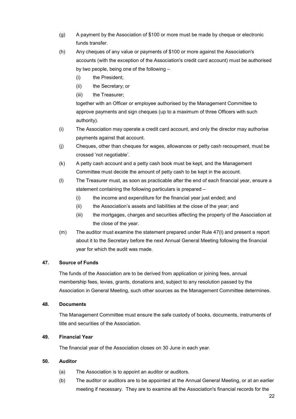- (g) A payment by the Association of \$100 or more must be made by cheque or electronic funds transfer.
- (h) Any cheques of any value or payments of \$100 or more against the Association's accounts (with the exception of the Association's credit card account) must be authorised by two people, being one of the following –
	- (i) the President;
	- (ii) the Secretary; or
	- (iii) the Treasurer;

together with an Officer or employee authorised by the Management Committee to approve payments and sign cheques (up to a maximum of three Officers with such authority).

- (i) The Association may operate a credit card account, and only the director may authorise payments against that account.
- (j) Cheques, other than cheques for wages, allowances or petty cash recoupment, must be crossed 'not negotiable'.
- (k) A petty cash account and a petty cash book must be kept, and the Management Committee must decide the amount of petty cash to be kept in the account.
- (l) The Treasurer must, as soon as practicable after the end of each financial year, ensure a statement containing the following particulars is prepared –
	- (i) the income and expenditure for the financial year just ended; and
	- (ii) the Association's assets and liabilities at the close of the year; and
	- (iii) the mortgages, charges and securities affecting the property of the Association at the close of the year.
- (m) The auditor must examine the statement prepared under Rule 47(l) and present a report about it to the Secretary before the next Annual General Meeting following the financial year for which the audit was made.

#### 47. Source of Funds

The funds of the Association are to be derived from application or joining fees, annual membership fees, levies, grants, donations and, subject to any resolution passed by the Association in General Meeting, such other sources as the Management Committee determines.

#### 48. Documents

The Management Committee must ensure the safe custody of books, documents, instruments of title and securities of the Association.

#### 49. Financial Year

The financial year of the Association closes on 30 June in each year.

#### 50. Auditor

- (a) The Association is to appoint an auditor or auditors.
- (b) The auditor or auditors are to be appointed at the Annual General Meeting, or at an earlier meeting if necessary. They are to examine all the Association's financial records for the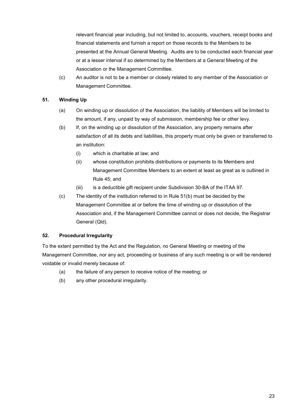relevant financial year including, but not limited to, accounts, vouchers, receipt books and financial statements and furnish a report on those records to the Members to be presented at the Annual General Meeting. Audits are to be conducted each financial year or at a lesser interval if so determined by the Members at a General Meeting of the Association or the Management Committee.

(c) An auditor is not to be a member or closely related to any member of the Association or Management Committee.

#### 51. Winding Up

- (a) On winding up or dissolution of the Association, the liability of Members will be limited to the amount, if any, unpaid by way of submission, membership fee or other levy.
- (b) If, on the winding up or dissolution of the Association, any property remains after satisfaction of all its debts and liabilities, this property must only be given or transferred to an institution:
	- (i) which is charitable at law; and
	- (ii) whose constitution prohibits distributions or payments to its Members and Management Committee Members to an extent at least as great as is outlined in Rule 45; and
	- (iii) is a deductible gift recipient under Subdivision 30-BA of the ITAA 97.
- (c) The identity of the institution referred to in Rule 51(b) must be decided by the Management Committee at or before the time of winding up or dissolution of the Association and, if the Management Committee cannot or does not decide, the Registrar General (Qld).

#### 52. Procedural Irregularity

To the extent permitted by the Act and the Regulation, no General Meeting or meeting of the Management Committee, nor any act, proceeding or business of any such meeting is or will be rendered voidable or invalid merely because of:

- (a) the failure of any person to receive notice of the meeting; or
- (b) any other procedural irregularity.